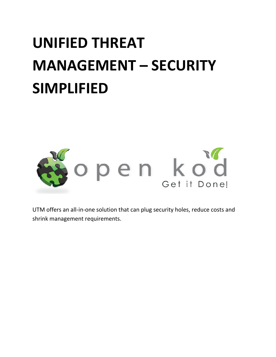# **UNIFIED THREAT MANAGEMENT – SECURITY SIMPLIFIED**



UTM offers an all-in-one solution that can plug security holes, reduce costs and shrink management requirements.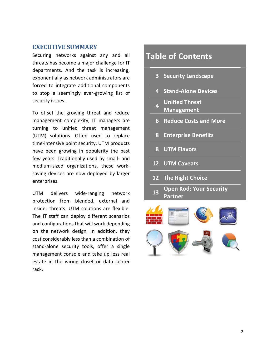#### **EXECUTIVE SUMMARY**

Securing networks against any and all threats has become a major challenge for IT departments. And the task is increasing, exponentially as network administrators are forced to integrate additional components to stop a seemingly ever-growing list of security issues.

To offset the growing threat and reduce management complexity, IT managers are turning to unified threat management (UTM) solutions. Often used to replace time-intensive point security, UTM products have been growing in popularity the past few years. Traditionally used by small- and medium-sized organizations, these worksaving devices are now deployed by larger enterprises.

UTM delivers wide-ranging network protection from blended, external and insider threats. UTM solutions are flexible. The IT staff can deploy different scenarios and configurations that will work depending on the network design. In addition, they cost considerably less than a combination of stand-alone security tools, offer a single management console and take up less real estate in the wiring closet or data center rack.

# **Table of Contents 3 Security Landscape 4 Stand-Alone Devices 4 Unified Threat Management 6 Reduce Costs and More 8 Enterprise Benefits 8 UTM Flavors 12 UTM Caveats 12 The Right Choice <sup>13</sup> Open Kod: Your Security Partner**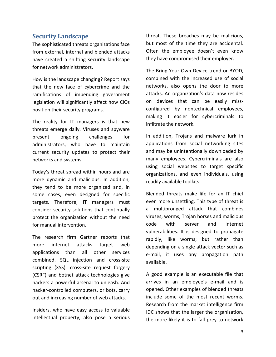#### **Security Landscape**

The sophisticated threats organizations face from external, internal and blended attacks have created a shifting security landscape for network administrators.

How is the landscape changing? Report says that the new face of cybercrime and the ramifications of impending government legislation will significantly affect how CIOs position their security programs.

The reality for IT managers is that new threats emerge daily. Viruses and spyware present ongoing challenges for administrators, who have to maintain current security updates to protect their networks and systems.

Today's threat spread within hours and are more dynamic and malicious. In addition, they tend to be more organized and, in some cases, even designed for specific targets. Therefore, IT managers must consider security solutions that continually protect the organization without the need for manual intervention.

The research firm Gartner reports that more internet attacks target web applications than all other services combined. SQL injection and cross-site scripting (XSS), cross-site request forgery (CSRF) and botnet attack technologies give hackers a powerful arsenal to unleash. And hacker-controlled computers, or bots, carry out and increasing number of web attacks.

Insiders, who have easy access to valuable intellectual property, also pose a serious threat. These breaches may be malicious, but most of the time they are accidental. Often the employee doesn't even know they have compromised their employer.

The Bring Your Own Device trend or BYOD, combined with the increased use of social networks, also opens the door to more attacks. An organization's data now resides on devices that can be easily missconfigured by nontechnical employees, making it easier for cybercriminals to infiltrate the network.

In addition, Trojans and malware lurk in applications from social networking sites and may be unintentionally downloaded by many employees. Cybercriminals are also using social websites to target specific organizations, and even individuals, using readily available toolkits.

Blended threats make life for an IT chief even more unsettling. This type of threat is a multipronged attack that combines viruses, worms, Trojan horses and malicious code with server and Internet vulnerabilities. It is designed to propagate rapidly, like worms; but rather than depending on a single attack vector such as e-mail, it uses any propagation path available.

A good example is an executable file that arrives in an employee's e-mail and is opened. Other examples of blended threats include some of the most recent worms. Research from the market intelligence firm IDC shows that the larger the organization, the more likely it is to fall prey to network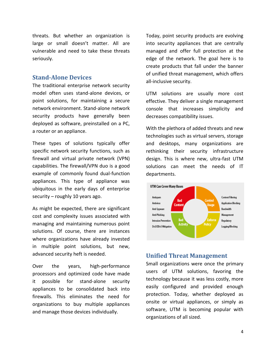threats. But whether an organization is large or small doesn't matter. All are vulnerable and need to take these threats seriously.

#### **Stand-Alone Devices**

The traditional enterprise network security model often uses stand-alone devices, or point solutions, for maintaining a secure network environment. Stand-alone network security products have generally been deployed as software, preinstalled on a PC, a router or an appliance.

These types of solutions typically offer specific network security functions, such as firewall and virtual private network (VPN) capabilities. The firewall/VPN duo is a good example of commonly found dual-function appliances. This type of appliance was ubiquitous in the early days of enterprise security – roughly 10 years ago.

As might be expected, there are significant cost and complexity issues associated with managing and maintaining numerous point solutions. Of course, there are instances where organizations have already invested in multiple point solutions, but new, advanced security heft is needed.

Over the years, high-performance processors and optimized code have made it possible for stand-alone security appliances to be consolidated back into firewalls. This eliminates the need for organizations to buy multiple appliances and manage those devices individually.

Today, point security products are evolving into security appliances that are centrally managed and offer full protection at the edge of the network. The goal here is to create products that fall under the banner of unified threat management, which offers all-inclusive security.

UTM solutions are usually more cost effective. They deliver a single management console that increases simplicity and decreases compatibility issues.

With the plethora of added threats and new technologies such as virtual servers, storage and desktops, many organizations are rethinking their security infrastructure design. This is where new, ultra-fast UTM solutions can meet the needs of IT departments.



#### **Unified Threat Management**

Small organizations were once the primary users of UTM solutions, favoring the technology because it was less costly, more easily configured and provided enough protection. Today, whether deployed as onsite or virtual appliances, or simply as software, UTM is becoming popular with organizations of all sized.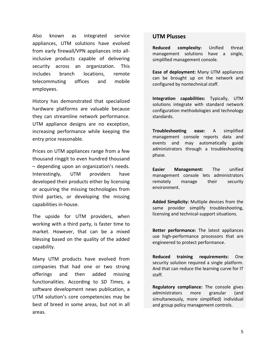Also known as integrated service appliances, UTM solutions have evolved from early firewall/VPN appliances into allinclusive products capable of delivering security across an organization. This includes branch locations, remote telecommuting offices and mobile employees.

History has demonstrated that specialized hardware platforms are valuable because they can streamline network performance. UTM appliance designs are no exception, increasing performance while keeping the entry price reasonable.

Prices on UTM appliances range from a few thousand ringgit to even hundred thousand – depending upon an organization's needs. Interestingly, UTM providers have developed their products either by licensing or acquiring the missing technologies from third parties, or developing the missing capabilities in-house.

The upside for UTM providers, when working with a third party, is faster time to market. However, that can be a mixed blessing based on the quality of the added capability.

Many UTM products have evolved from companies that had one or two strong offerings and then added missing functionalities. According to *SD Times,* a software development news publication, a UTM solution's core competencies may be best of breed in some areas, but not in all areas.

#### **UTM Plusses**

**Reduced complexity:** Unified threat management solutions have a single, simplified management console.

**Ease of deployment:** Many UTM appliances can be brought up on the network and configured by nontechnical staff.

**Integration capabilities:** Typically, UTM solutions integrate with standard network configuration methodologies and technology standards.

**Troubleshooting ease:** A simplified management console reports data and events and may automatically guide administrators through a troubleshooting phase.

**Easier Management:** The unified management console lets administrators remotely manage their security environment.

**Added Simplicity:** Multiple devices from the same provider simplify troubleshooting, licensing and technical-support situations.

**Better performance:** The latest appliances use high-performance processors that are engineered to protect performance.

**Reduced training requirements:** One security solution required a single platform. And that can reduce the learning curve for IT staff.

**Regulatory compliance:** The console gives administrators more granular (and simultaneously, more simplified) individual and group policy management controls.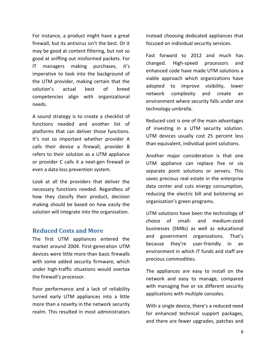For instance, a product might have a great firewall, but its antivirus isn't the best. Or it may be good at content filtering, but not so good at sniffing out misformed packets. For IT managers making purchases, it's imperative to look into the background of the UTM provider, making certain that the solution's actual best of breed competencies align with organizational needs.

A sound strategy is to create a checklist of functions needed and another list of platforms that can deliver those functions. It's not so important whether provider A calls their device a firewall, provider B refers to their solution as a UTM appliance or provider C calls it a next-gen firewall or even a data loss prevention system.

Look at all the providers that deliver the necessary functions needed. Regardless of how they classify their product, decision making should be based on how easily the solution will integrate into the organization.

#### **Reduced Costs and More**

The first UTM appliances entered the market around 2004. First-generation UTM devices were little more than basic firewalls with some added security firmware, which under high-traffic situations would overtax the firewall's processor.

Poor performance and a lack of reliability turned early UTM appliances into a little more than a novelty in the network security realm. This resulted in most administrators

instead choosing dedicated appliances that focused on individual security services.

Fast forward to 2012 and much has changed. High-speed processors and enhanced code have made UTM solutions a viable approach which organizations have adopted to improve visibility, lower network complexity and create an environment where security falls under one technology umbrella.

Reduced cost is one of the main advantages of investing in a UTM security solution. UTM devices usually cost 25 percent less than equivalent, individual point solutions.

Another major consideration is that one UTM appliance can replace five or six separate point solutions or servers. This saves precious real estate in the enterprise data center and cuts energy consumption, reducing the electric bill and bolstering an organization's green programs.

UTM solutions have been the technology of choice of small- and medium-sized businesses (SMBs) as well as educational and government organizations. That's because they're user-friendly in an environment in which IT funds and staff are precious commodities.

The appliances are easy to install on the network and easy to manage, compared with managing five or six different security applications with multiple consoles.

With a single device, there's a reduced need for enhanced technical support packages, and there are fewer upgrades, patches and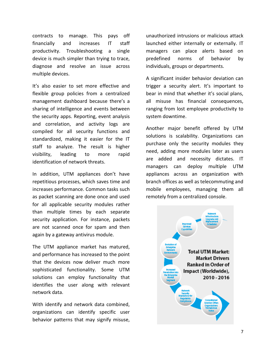contracts to manage. This pays off financially and increases IT staff productivity. Troubleshooting a single device is much simpler than trying to trace, diagnose and resolve an issue across multiple devices.

It's also easier to set more effective and flexible group policies from a centralized management dashboard because there's a sharing of intelligence and events between the security apps. Reporting, event analysis and correlation, and activity logs are compiled for all security functions and standardized, making it easier for the IT staff to analyze. The result is higher visibility, leading to more rapid identification of network threats.

In addition, UTM appliances don't have repetitious processes, which saves time and increases performance. Common tasks such as packet scanning are done once and used for all applicable security modules rather than multiple times by each separate security application. For instance, packets are not scanned once for spam and then again by a gateway antivirus module.

The UTM appliance market has matured, and performance has increased to the point that the devices now deliver much more sophisticated functionality. Some UTM solutions can employ functionality that identifies the user along with relevant network data.

With identify and network data combined, organizations can identify specific user behavior patterns that may signify misuse,

unauthorized intrusions or malicious attack launched either internally or externally. IT managers can place alerts based on predefined norms of behavior by individuals, groups or departments.

A significant insider behavior deviation can trigger a security alert. It's important to bear in mind that whether it's social plans, all misuse has financial consequences, ranging from lost employee productivity to system downtime.

Another major benefit offered by UTM solutions is scalability. Organizations can purchase only the security modules they need, adding more modules later as users are added and necessity dictates. IT managers can deploy multiple UTM appliances across an organization with branch offices as well as telecommuting and mobile employees, managing them all remotely from a centralized console.

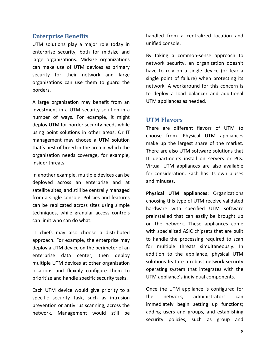#### **Enterprise Benefits**

UTM solutions play a major role today in enterprise security, both for midsize and large organizations. Midsize organizations can make use of UTM devices as primary security for their network and large organizations can use them to guard the borders.

A large organization may benefit from an investment in a UTM security solution in a number of ways. For example, it might deploy UTM for border security needs while using point solutions in other areas. Or IT management may choose a UTM solution that's best of breed in the area in which the organization needs coverage, for example, insider threats.

In another example, multiple devices can be deployed across an enterprise and at satellite sites, and still be centrally managed from a single console. Policies and features can be replicated across sites using simple techniques, while granular access controls can limit who can do what.

IT chiefs may also choose a distributed approach. For example, the enterprise may deploy a UTM device on the perimeter of an enterprise data center, then deploy multiple UTM devices at other organization locations and flexibly configure them to prioritize and handle specific security tasks.

Each UTM device would give priority to a specific security task, such as intrusion prevention or antivirus scanning, across the network. Management would still be

handled from a centralized location and unified console.

By taking a common-sense approach to network security, an organization doesn't have to rely on a single device (or fear a single point of failure) when protecting its network. A workaround for this concern is to deploy a load balancer and additional UTM appliances as needed.

#### **UTM Flavors**

There are different flavors of UTM to choose from. Physical UTM appliances make up the largest share of the market. There are also UTM software solutions that IT departments install on servers or PCs. Virtual UTM appliances are also available for consideration. Each has its own pluses and minuses.

**Physical UTM appliances:** Organizations choosing this type of UTM receive validated hardware with specified UTM software preinstalled that can easily be brought up on the network. These appliances come with specialized ASIC chipsets that are built to handle the processing required to scan for multiple threats simultaneously. In addition to the appliance, physical UTM solutions feature a robust network security operating system that integrates with the UTM appliance's individual components.

Once the UTM appliance is configured for the network, administrators can immediately begin setting up functions; adding users and groups, and establishing security policies, such as group and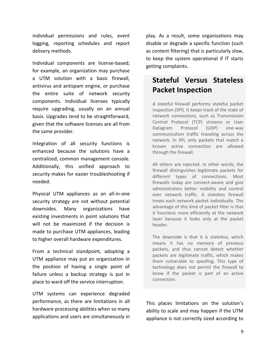individual permissions and rules, event logging, reporting schedules and report delivery methods.

Individual components are license-based; for example, an organization may purchase a UTM solution with a basic firewall, antivirus and antispam engine, or purchase the entire suite of network security components. Individual licenses typically require upgrading, usually on an annual basis. Upgrades tend to be straightforward, given that the software licenses are all from the same provider.

Integration of all security functions is enhanced because the solutions have a centralized, common management console. Additionally, this unified approach to security makes for easier troubleshooting if needed.

Physical UTM appliances as an all-in-one security strategy are not without potential downsides. Many organizations have existing investments in point solutions that will not be maximized if the decision is made to purchase UTM appliances, leading to higher overall hardware expenditures.

From a technical standpoint, adopting a UTM appliance may put an organization in the position of having a single point of failure unless a backup strategy is put in place to ward off the service interruption.

UTM systems can experience degraded performance, as there are limitations in all hardware processing abilities when so many applications and users are simultaneously in play. As a result, some organizations may disable or degrade a specific function (such as content filtering) that is particularly slow, to keep the system operational if IT starts getting complaints.

# **Stateful Versus Stateless Packet Inspection**

A stateful firewall performs stateful packet inspection (SPI). It keeps track of the state of network connections, such as Transmission Control Protocol (TCP) streams or User Datagram Protocol (UDP) one-way communication traffic traveling across the network. In SPI, only packets that match a known active connection are allowed through the firewall.

All others are rejected. In other words, the firewall distinguishes legitimate packets for different types of connections. Most firewalls today are connect-aware and give administrators better visibility and control over network traffic. A stateless firewall treats each network packet individually. The advantage of this kind of packet filter is that it functions more efficiently at the network layer because it looks only at the packet header.

The downside is that it is stateless, which means it has no memory of previous packets, and thus cannot detect whether packets are legitimate traffic, which makes them vulnerable to spoofing. This type of technology does not permit the firewall to know if the packet is part of an active connection.

This places limitations on the solution's ability to scale and may happen if the UTM appliance is not correctly sized according to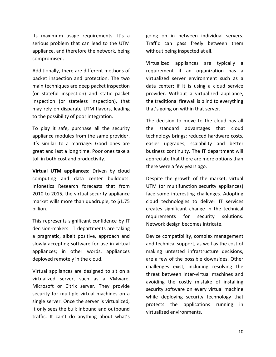its maximum usage requirements. It's a serious problem that can lead to the UTM appliance, and therefore the network, being compromised.

Additionally, there are different methods of packet inspection and protection. The two main techniques are deep packet inspection (or stateful inspection) and static packet inspection (or stateless inspection), that may rely on disparate UTM flavors, leading to the possibility of poor integration.

To play it safe, purchase all the security appliance modules from the same provider. It's similar to a marriage: Good ones are great and last a long time. Poor ones take a toll in both cost and productivity.

**Virtual UTM appliances:** Driven by cloud computing and data center buildouts. Infonetics Research forecasts that from 2010 to 2015, the virtual security appliance market wills more than quadruple, to \$1.75 billion.

This represents significant confidence by IT decision-makers. IT departments are taking a pragmatic, albeit positive, approach and slowly accepting software for use in virtual appliances; in other words, appliances deployed remotely in the cloud.

Virtual appliances are designed to sit on a virtualized server, such as a VMware, Microsoft or Citrix server. They provide security for multiple virtual machines on a single server. Once the server is virtualized, it only sees the bulk inbound and outbound traffic. It can't do anything about what's

going on in between individual servers. Traffic can pass freely between them without being inspected at all.

Virtualized appliances are typically a requirement if an organization has a virtualized server environment such as a data center; if it is using a cloud service provider. Without a virtualized appliance, the traditional firewall is blind to everything that's going on within that server.

The decision to move to the cloud has all the standard advantages that cloud technology brings: reduced hardware costs, easier upgrades, scalability and better business continuity. The IT department will appreciate that there are more options than there were a few years ago.

Despite the growth of the market, virtual UTM (or multifunction security appliances) face some interesting challenges. Adopting cloud technologies to deliver IT services creates significant change in the technical requirements for security solutions. Network design becomes intricate.

Device compatibility, complex management and technical support, as well as the cost of making untested infrastructure decisions, are a few of the possible downsides. Other challenges exist, including resolving the threat between inter-virtual machines and avoiding the costly mistake of installing security software on every virtual machine while deploying security technology that protects the applications running in virtualized environments.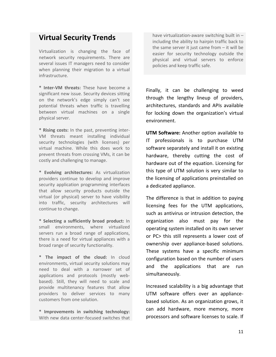### **Virtual Security Trends**

Virtualization is changing the face of network security requirements. There are several issues IT managers need to consider when planning their migration to a virtual infrastructure.

**\* Inter-VM threats:** These have become a significant new issue. Security devices sitting on the network's edge simply can't see potential threats when traffic is travelling between virtual machines on a single physical server.

**\* Rising costs:** In the past, preventing inter-VM threats meant installing individual security technologies (with licenses) per virtual machine. While this does work to prevent threats from crossing VMs, it can be costly and challenging to manage.

**\* Evolving architectures:** As virtualization providers continue to develop and improve security application programming interfaces that allow security products outside the virtual (or physical) server to have visibility into traffic, security architectures will continue to change.

**\* Selecting a sufficiently broad product:** In small environments, where virtualized servers run a broad range of applications, there is a need for virtual appliances with a broad range of security functionality.

**\* The impact of the cloud:** In cloud environments, virtual security solutions may need to deal with a narrower set of applications and protocols (mostly webbased). Still, they will need to scale and provide multitenancy features that allow providers to deliver services to many customers from one solution.

**\* Improvements in switching technology:** With new data center-focused switches that

have virtualization-aware switching built in – including the ability to hairpin traffic back to the same server it just came from – it will be easier for security technology outside the physical and virtual servers to enforce policies and keep traffic safe.

Finally, it can be challenging to weed through the lengthy lineup of providers, architectures, standards and APIs available for locking down the organization's virtual environment.

**UTM Software:** Another option available to IT professionals is to purchase UTM software separately and install it on existing hardware, thereby cutting the cost of hardware out of the equation. Licensing for this type of UTM solution is very similar to the licensing of applications preinstalled on a dedicated appliance.

The difference is that in addition to paying licensing fees for the UTM applications, such as antivirus or intrusion detection, the organization also must pay for the operating system installed on its own server or PC> this still represents a lower cost of ownership over appliance-based solutions. These systems have a specific minimum configuration based on the number of users and the applications that are run simultaneously.

Increased scalability is a big advantage that UTM software offers over an appliancebased solution. As an organization grows, it can add hardware, more memory, more processors and software licenses to scale. If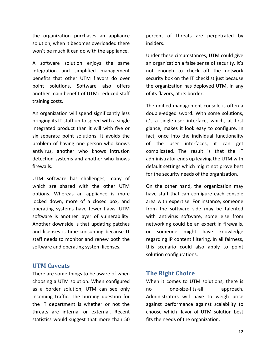the organization purchases an appliance solution, when it becomes overloaded there won't be much it can do with the appliance.

A software solution enjoys the same integration and simplified management benefits that other UTM flavors do over point solutions. Software also offers another main benefit of UTM: reduced staff training costs.

An organization will spend significantly less bringing its IT staff up to speed with a single integrated product than it will with five or six separate point solutions. It avoids the problem of having one person who knows antivirus, another who knows intrusion detection systems and another who knows firewalls.

UTM software has challenges, many of which are shared with the other UTM options. Whereas an appliance is more locked down, more of a closed box, and operating systems have fewer flaws, UTM software is another layer of vulnerability. Another downside is that updating patches and licenses is time-consuming because IT staff needs to monitor and renew both the software and operating system licenses.

#### **UTM Caveats**

There are some things to be aware of when choosing a UTM solution. When configured as a border solution, UTM can see only incoming traffic. The burning question for the IT department is whether or not the threats are internal or external. Recent statistics would suggest that more than 50

percent of threats are perpetrated by insiders.

Under these circumstances, UTM could give an organization a false sense of security. It's not enough to check off the network security box on the IT checklist just because the organization has deployed UTM, in any of its flavors, at its border.

The unified management console is often a double-edged sword. With some solutions, it's a single-user interface, which, at first glance, makes it look easy to configure. In fact, once into the individual functionality of the user interfaces, it can get complicated. The result is that the IT administrator ends up leaving the UTM with default settings which might not prove best for the security needs of the organization.

On the other hand, the organization may have staff that can configure each console area with expertise. For instance, someone from the software side may be talented with antivirus software, some else from networking could be an expert in firewalls, or someone might have knowledge regarding IP content filtering. In all fairness, this scenario could also apply to point solution configurations.

#### **The Right Choice**

When it comes to UTM solutions, there is no one-size-fits-all approach. Administrators will have to weigh price against performance against scalability to choose which flavor of UTM solution best fits the needs of the organization.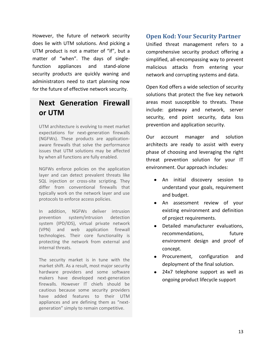However, the future of network security does lie with UTM solutions. And picking a UTM product is not a matter of "if", but a matter of "when". The days of singlefunction appliances and stand-alone security products are quickly waning and administrators need to start planning now for the future of effective network security.

# **Next Generation Firewall or UTM**

UTM architecture is evolving to meet market expectations for next-generation firewalls (NGFWs). These products are applicationaware firewalls that solve the performance issues that UTM solutions may be affected by when all functions are fully enabled.

NGFWs enforce policies on the application layer and can detect prevalent threats like SQL injection or cross-site scripting. They differ from conventional firewalls that typically work on the network layer and use protocols to enforce access policies.

In addition, NGFWs deliver intrusion prevention system/intrusion detection system (IPD/IDS), virtual private network (VPN) and web application firewall technologies. Their core functionality is protecting the network from external and internal threats.

The security market is in tune with the market shift. As a result, most major security hardware providers and some software makers have developed next-generation firewalls. However IT chiefs should be cautious because some security providers have added features to their UTM appliances and are defining them as "nextgeneration" simply to remain competitive.

#### **Open Kod: Your Security Partner**

Unified threat management refers to a comprehensive security product offering a simplified, all-encompassing way to prevent malicious attacks from entering your network and corrupting systems and data.

Open Kod offers a wide selection of security solutions that protect the five key network areas most susceptible to threats. These include: gateway and network, server security, end point security, data loss prevention and application security.

Our account manager and solution architects are ready to assist with every phase of choosing and leveraging the right threat prevention solution for your IT environment. Our approach includes:

- An initial discovery session to understand your goals, requirement and budget.
- An assessment review of your existing environment and definition of project requirements.
- Detailed manufacturer evaluations, recommendations, future environment design and proof of concept.
- Procurement, configuration and deployment of the final solution.
- 24x7 telephone support as well as ongoing product lifecycle support